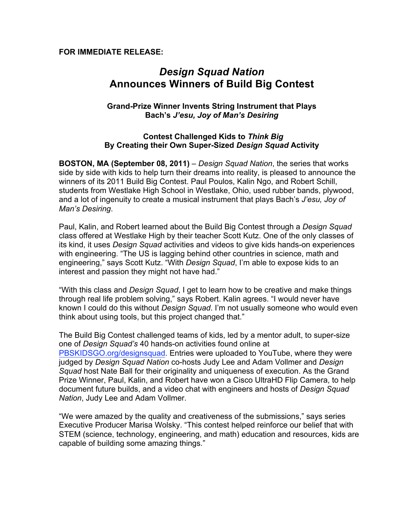#### **FOR IMMEDIATE RELEASE:**

# *Design Squad Nation* **Announces Winners of Build Big Contest**

## **Grand-Prize Winner Invents String Instrument that Plays Bach's** *J'esu, Joy of Man's Desiring*

#### **Contest Challenged Kids to** *Think Big* **By Creating their Own Super-Sized** *Design Squad* **Activity**

**BOSTON, MA (September 08, 2011)** – *Design Squad Nation*, the series that works side by side with kids to help turn their dreams into reality, is pleased to announce the winners of its 2011 Build Big Contest. Paul Poulos, Kalin Ngo, and Robert Schill, students from Westlake High School in Westlake, Ohio, used rubber bands, plywood, and a lot of ingenuity to create a musical instrument that plays Bach's *J'esu, Joy of Man's Desiring*.

Paul, Kalin, and Robert learned about the Build Big Contest through a *Design Squad* class offered at Westlake High by their teacher Scott Kutz. One of the only classes of its kind, it uses *Design Squad* activities and videos to give kids hands-on experiences with engineering. "The US is lagging behind other countries in science, math and engineering," says Scott Kutz. "With *Design Squad*, I'm able to expose kids to an interest and passion they might not have had."

"With this class and *Design Squad*, I get to learn how to be creative and make things through real life problem solving," says Robert. Kalin agrees. "I would never have known I could do this without *Design Squad*. I'm not usually someone who would even think about using tools, but this project changed that."

The Build Big Contest challenged teams of kids, led by a mentor adult, to super-size one of *Design Squad's* 40 hands-on activities found online at PBSKIDSGO.org/designsquad. Entries were uploaded to YouTube, where they were judged by *Design Squad Nation* co-hosts Judy Lee and Adam Vollmer and *Design Squad* host Nate Ball for their originality and uniqueness of execution. As the Grand Prize Winner, Paul, Kalin, and Robert have won a Cisco UltraHD Flip Camera, to help document future builds, and a video chat with engineers and hosts of *Design Squad Nation*, Judy Lee and Adam Vollmer.

"We were amazed by the quality and creativeness of the submissions," says series Executive Producer Marisa Wolsky. "This contest helped reinforce our belief that with STEM (science, technology, engineering, and math) education and resources, kids are capable of building some amazing things."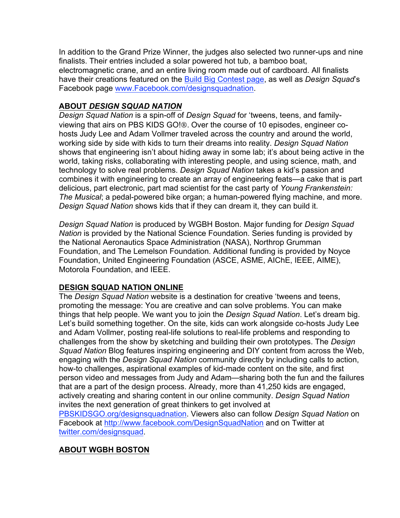In addition to the Grand Prize Winner, the judges also selected two runner-ups and nine finalists. Their entries included a solar powered hot tub, a bamboo boat, electromagnetic crane, and an entire living room made out of cardboard. All finalists have their creations featured on the Build Big Contest page, as well as *Design Squad*'s Facebook page www.Facebook.com/designsquadnation.

## **ABOUT** *DESIGN SQUAD NATION*

*Design Squad Nation* is a spin-off of *Design Squad* for 'tweens, teens, and familyviewing that airs on PBS KIDS GO!®. Over the course of 10 episodes, engineer cohosts Judy Lee and Adam Vollmer traveled across the country and around the world, working side by side with kids to turn their dreams into reality. *Design Squad Nation*  shows that engineering isn't about hiding away in some lab; it's about being active in the world, taking risks, collaborating with interesting people, and using science, math, and technology to solve real problems. *Design Squad Nation* takes a kid's passion and combines it with engineering to create an array of engineering feats—a cake that is part delicious, part electronic, part mad scientist for the cast party of *Young Frankenstein: The Musical*; a pedal-powered bike organ; a human-powered flying machine, and more. *Design Squad Nation* shows kids that if they can dream it, they can build it.

*Design Squad Nation* is produced by WGBH Boston. Major funding for *Design Squad Nation* is provided by the National Science Foundation. Series funding is provided by the National Aeronautics Space Administration (NASA), Northrop Grumman Foundation, and The Lemelson Foundation. Additional funding is provided by Noyce Foundation, United Engineering Foundation (ASCE, ASME, AIChE, IEEE, AIME), Motorola Foundation, and IEEE.

## **DESIGN SQUAD NATION ONLINE**

The *Design Squad Nation* website is a destination for creative 'tweens and teens, promoting the message: You are creative and can solve problems. You can make things that help people. We want you to join the *Design Squad Nation*. Let's dream big. Let's build something together. On the site, kids can work alongside co-hosts Judy Lee and Adam Vollmer, posting real-life solutions to real-life problems and responding to challenges from the show by sketching and building their own prototypes. The *Design Squad Nation* Blog features inspiring engineering and DIY content from across the Web, engaging with the *Design Squad Nation* community directly by including calls to action, how-to challenges, aspirational examples of kid-made content on the site, and first person video and messages from Judy and Adam—sharing both the fun and the failures that are a part of the design process. Already, more than 41,250 kids are engaged, actively creating and sharing content in our online community. *Design Squad Nation* invites the next generation of great thinkers to get involved at PBSKIDSGO.org/designsquadnation. Viewers also can follow *Design Squad Nation* on Facebook at http://www.facebook.com/DesignSquadNation and on Twitter at twitter.com/designsquad.

## **ABOUT WGBH BOSTON**